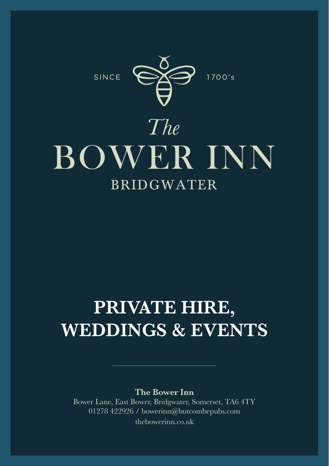SINCE



# $The$ **BOWER INN BRIDGWATER**

## **PRIVATE HIRE, WEDDINGS & EVENTS**

**The Bower Inn**

Bower Lane, East Bower, Bridgwater, Somerset, TA6 4TY 01278 422926 / bowerinn@butcombepubs.com thebowerinn.co.uk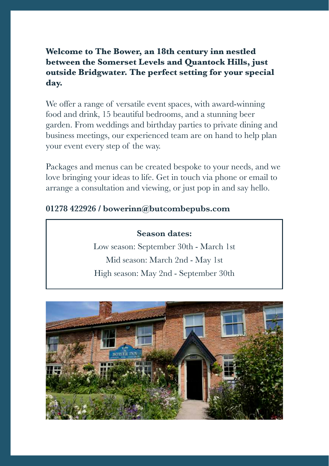#### **Welcome to The Bower, an 18th century inn nestled between the Somerset Levels and Quantock Hills, just outside Bridgwater. The perfect setting for your special day.**

We offer a range of versatile event spaces, with award-winning food and drink, 15 beautiful bedrooms, and a stunning beer garden. From weddings and birthday parties to private dining and business meetings, our experienced team are on hand to help plan your event every step of the way.

Packages and menus can be created bespoke to your needs, and we love bringing your ideas to life. Get in touch via phone or email to arrange a consultation and viewing, or just pop in and say hello.

#### **01278 422926 / bowerinn@butcombepubs.com**

#### **Season dates:**

Low season: September 30th - March 1st Mid season: March 2nd - May 1st High season: May 2nd - September 30th

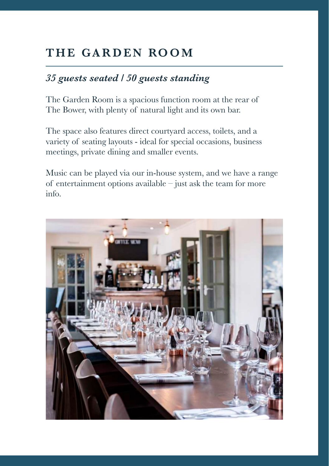## **THE GARDEN ROOM**

#### *35 guests seated / 50 guests standing*

The Garden Room is a spacious function room at the rear of The Bower, with plenty of natural light and its own bar.

The space also features direct courtyard access, toilets, and a variety of seating layouts - ideal for special occasions, business meetings, private dining and smaller events.

Music can be played via our in-house system, and we have a range of entertainment options available – just ask the team for more info.

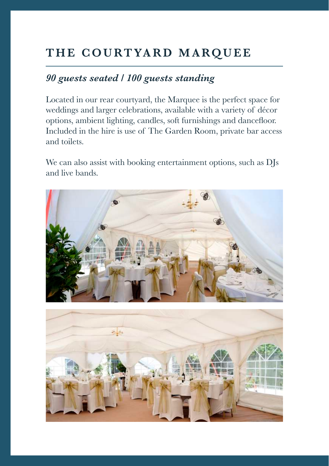## **THE COURTYARD MARQUEE**

#### *90 guests seated / 100 guests standing*

Located in our rear courtyard, the Marquee is the perfect space for weddings and larger celebrations, available with a variety of décor options, ambient lighting, candles, soft furnishings and dancefloor. Included in the hire is use of The Garden Room, private bar access and toilets.

We can also assist with booking entertainment options, such as DJs and live bands.



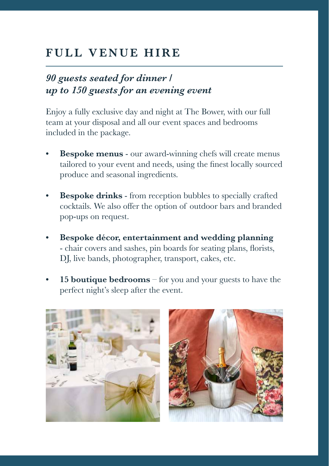## **FULL VENUE HIRE**

#### *90 guests seated for dinner / up to 150 guests for an evening event*

Enjoy a fully exclusive day and night at The Bower, with our full team at your disposal and all our event spaces and bedrooms included in the package.

- **Bespoke menus** our award-winning chefs will create menus tailored to your event and needs, using the finest locally sourced produce and seasonal ingredients.
- **• Bespoke drinks** from reception bubbles to specially crafted cocktails. We also offer the option of outdoor bars and branded pop-ups on request.
- **• Bespoke décor, entertainment and wedding planning** - chair covers and sashes, pin boards for seating plans, florists, DJ, live bands, photographer, transport, cakes, etc.
- **• 15 boutique bedrooms** for you and your guests to have the perfect night's sleep after the event.



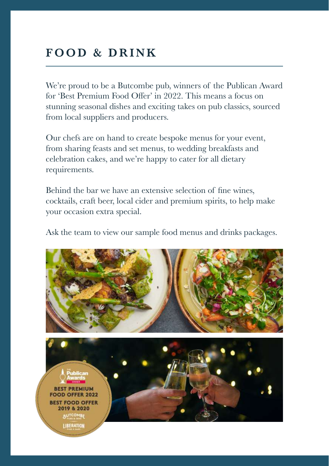## **FOOD & DRINK**

We're proud to be a Butcombe pub, winners of the Publican Award for 'Best Premium Food Offer' in 2022. This means a focus on stunning seasonal dishes and exciting takes on pub classics, sourced from local suppliers and producers.

Our chefs are on hand to create bespoke menus for your event, from sharing feasts and set menus, to wedding breakfasts and celebration cakes, and we're happy to cater for all dietary requirements.

Behind the bar we have an extensive selection of fine wines, cocktails, craft beer, local cider and premium spirits, to help make your occasion extra special.

Ask the team to view our sample food menus and drinks packages.

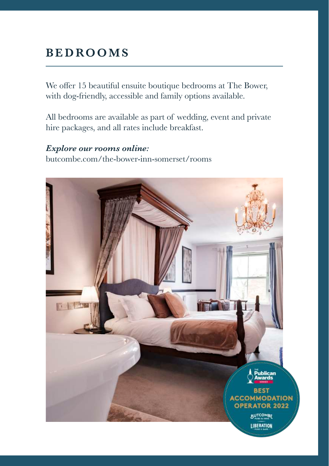## **B E D RO O M S**

We offer 15 beautiful ensuite boutique bedrooms at The Bower, with dog-friendly, accessible and family options available.

All bedrooms are available as part of wedding, event and private hire packages, and all rates include breakfast.

#### *Explore our rooms online:*  butcombe.com/the-bower-inn-somerset/rooms